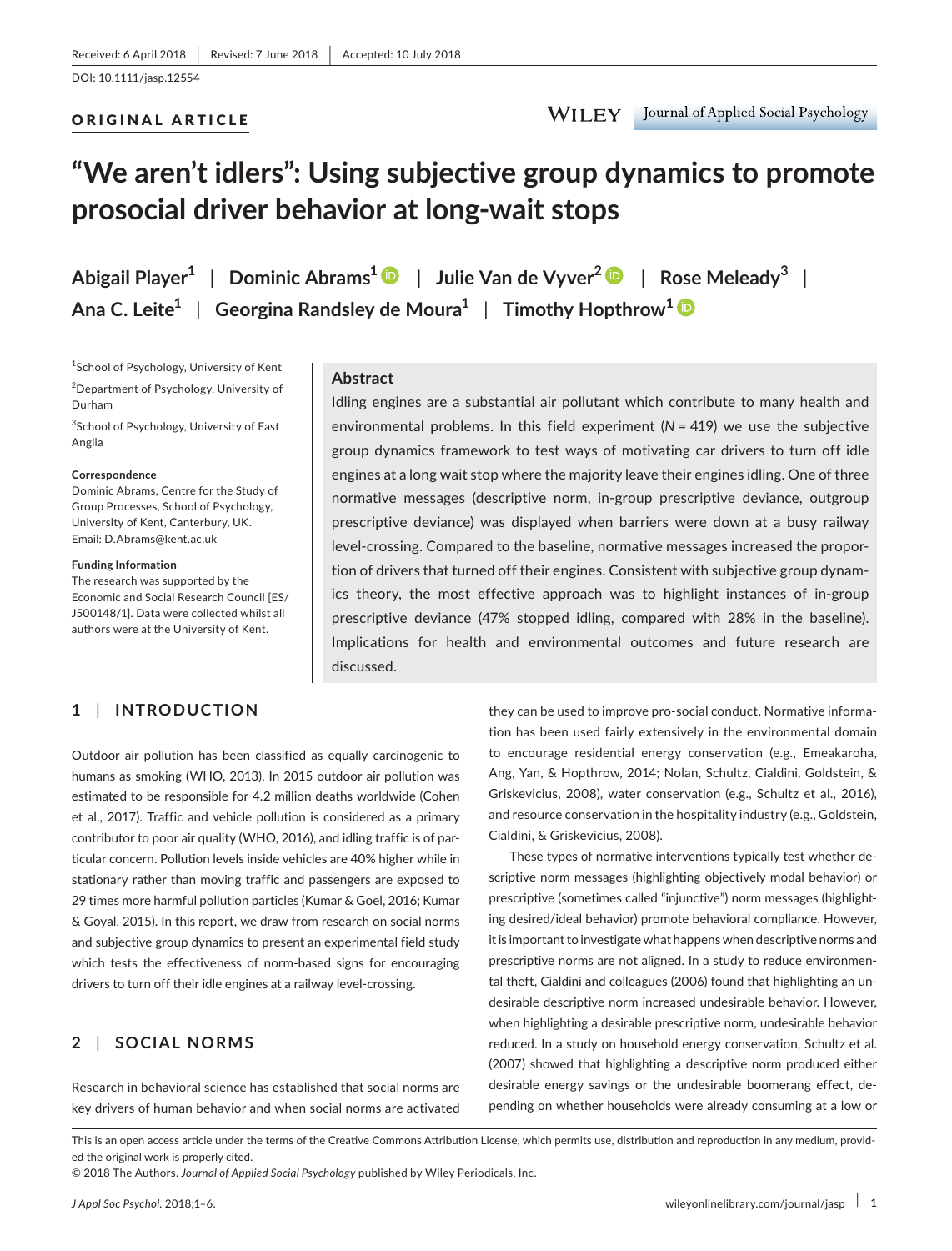# ORIGINAL ARTICLE

# **"We aren't idlers": Using subjective group dynamics to promote prosocial driver behavior at long‐wait stops**

**Abigail Player<sup>1</sup>** | **Dominic Abrams[1](http://orcid.org/0000-0002-2113-4572)** | **Julie Van de Vyver<sup>2</sup>** | **Rose Meleady<sup>3</sup>** | **Ana C. Leite<sup>1</sup>** | **Georgina Randsley de Moura<sup>1</sup>** | **Timothy Hopthrow[1](http://orcid.org/0000-0003-2331-7150)**

1 School of Psychology, University of Kent 2 Department of Psychology, University of Durham

<sup>3</sup>School of Psychology, University of East Anglia

#### **Correspondence**

Dominic Abrams, Centre for the Study of Group Processes, School of Psychology, University of Kent, Canterbury, UK. Email: [D.Abrams@kent.ac.uk](mailto:D.Abrams@kent.ac.uk)

#### **Funding Information**

The research was supported by the Economic and Social Research Council [ES/ J500148/1]. Data were collected whilst all authors were at the University of Kent.

# **1** | **INTRODUCTION**

## **Abstract**

Idling engines are a substantial air pollutant which contribute to many health and environmental problems. In this field experiment (*N =* 419) we use the subjective group dynamics framework to test ways of motivating car drivers to turn off idle engines at a long wait stop where the majority leave their engines idling. One of three normative messages (descriptive norm, in‐group prescriptive deviance, outgroup prescriptive deviance) was displayed when barriers were down at a busy railway level-crossing. Compared to the baseline, normative messages increased the proportion of drivers that turned off their engines. Consistent with subjective group dynam‐ ics theory, the most effective approach was to highlight instances of in‐group prescriptive deviance (47% stopped idling, compared with 28% in the baseline). Implications for health and environmental outcomes and future research are discussed.

Outdoor air pollution has been classified as equally carcinogenic to humans as smoking (WHO, 2013). In 2015 outdoor air pollution was estimated to be responsible for 4.2 million deaths worldwide (Cohen et al., 2017). Traffic and vehicle pollution is considered as a primary contributor to poor air quality (WHO, 2016), and idling traffic is of par‐ ticular concern. Pollution levels inside vehicles are 40% higher while in stationary rather than moving traffic and passengers are exposed to 29 times more harmful pollution particles (Kumar & Goel, 2016; Kumar & Goyal, 2015). In this report, we draw from research on social norms and subjective group dynamics to present an experimental field study which tests the effectiveness of norm-based signs for encouraging drivers to turn off their idle engines at a railway level‐crossing.

# **2** | **SOCIAL NORMS**

Research in behavioral science has established that social norms are key drivers of human behavior and when social norms are activated they can be used to improve pro-social conduct. Normative information has been used fairly extensively in the environmental domain to encourage residential energy conservation (e.g., Emeakaroha, Ang, Yan, & Hopthrow, 2014; Nolan, Schultz, Cialdini, Goldstein, & Griskevicius, 2008), water conservation (e.g., Schultz et al., 2016), and resource conservation in the hospitality industry (e.g., Goldstein, Cialdini, & Griskevicius, 2008).

These types of normative interventions typically test whether de‐ scriptive norm messages (highlighting objectively modal behavior) or prescriptive (sometimes called "injunctive") norm messages (highlighting desired/ideal behavior) promote behavioral compliance. However, it is important to investigate what happens when descriptive norms and prescriptive norms are not aligned. In a study to reduce environmen‐ tal theft, Cialdini and colleagues (2006) found that highlighting an un‐ desirable descriptive norm increased undesirable behavior. However, when highlighting a desirable prescriptive norm, undesirable behavior reduced. In a study on household energy conservation, Schultz et al. (2007) showed that highlighting a descriptive norm produced either desirable energy savings or the undesirable boomerang effect, de‐ pending on whether households were already consuming at a low or

This is an open access article under the terms of the Creative Commons Attribution License, which permits use, distribution and reproduction in any medium, provided the original work is properly cited.

© 2018 The Authors. *Journal of Applied Social Psychology* published by Wiley Periodicals, Inc.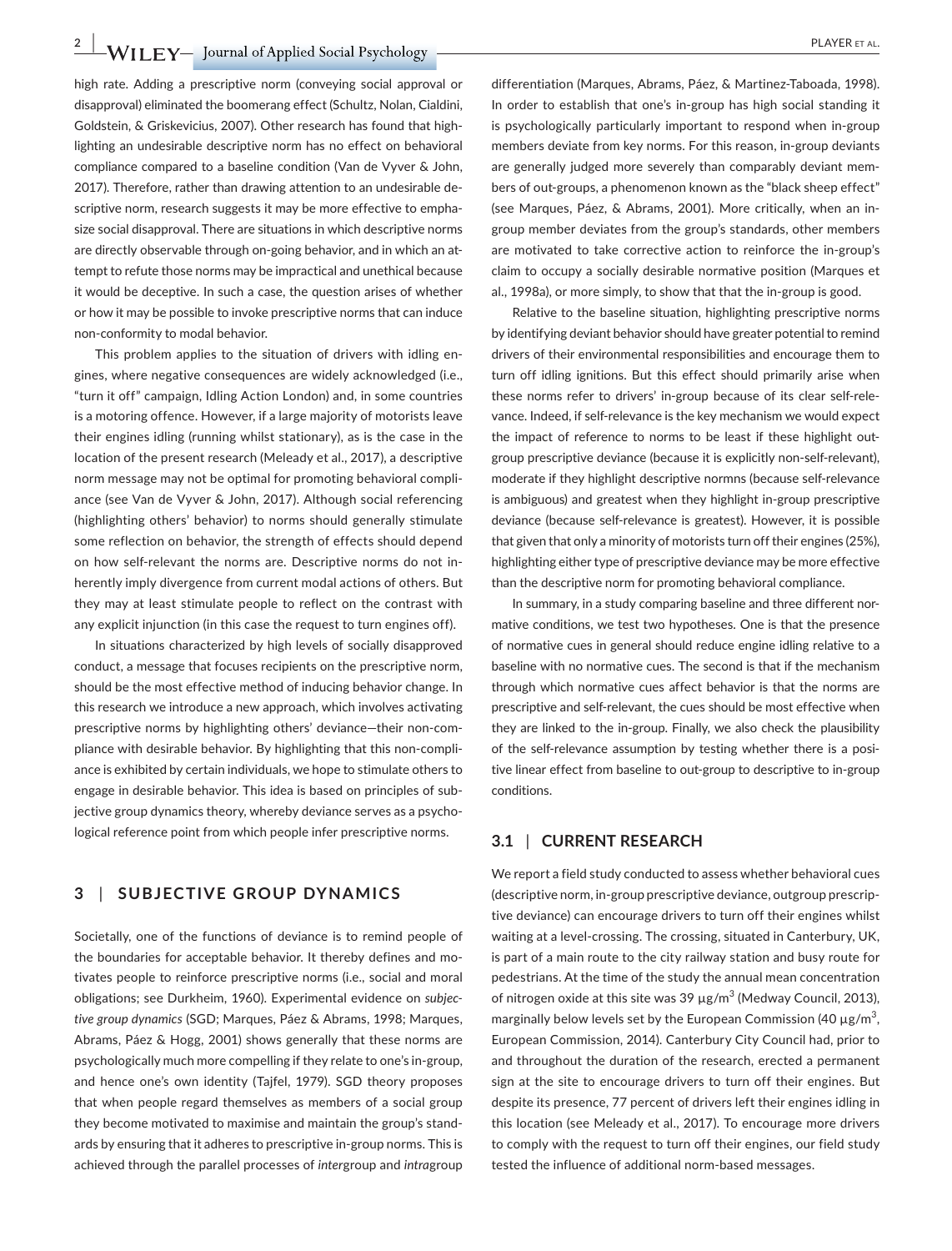**2 |**  PLAYER et al.

high rate. Adding a prescriptive norm (conveying social approval or disapproval) eliminated the boomerang effect (Schultz, Nolan, Cialdini, Goldstein, & Griskevicius, 2007). Other research has found that high‐ lighting an undesirable descriptive norm has no effect on behavioral compliance compared to a baseline condition (Van de Vyver & John, 2017). Therefore, rather than drawing attention to an undesirable de‐ scriptive norm, research suggests it may be more effective to emphasize social disapproval. There are situations in which descriptive norms are directly observable through on-going behavior, and in which an attempt to refute those norms may be impractical and unethical because it would be deceptive. In such a case, the question arises of whether or how it may be possible to invoke prescriptive norms that can induce non‐conformity to modal behavior.

This problem applies to the situation of drivers with idling en‐ gines, where negative consequences are widely acknowledged (i.e., "turn it off" campaign, Idling Action London) and, in some countries is a motoring offence. However, if a large majority of motorists leave their engines idling (running whilst stationary), as is the case in the location of the present research (Meleady et al., 2017), a descriptive norm message may not be optimal for promoting behavioral compli‐ ance (see Van de Vyver & John, 2017). Although social referencing (highlighting others' behavior) to norms should generally stimulate some reflection on behavior, the strength of effects should depend on how self-relevant the norms are. Descriptive norms do not inherently imply divergence from current modal actions of others. But they may at least stimulate people to reflect on the contrast with any explicit injunction (in this case the request to turn engines off).

In situations characterized by high levels of socially disapproved conduct, a message that focuses recipients on the prescriptive norm, should be the most effective method of inducing behavior change. In this research we introduce a new approach, which involves activating prescriptive norms by highlighting others' deviance—their non‐com‐ pliance with desirable behavior. By highlighting that this non‐compli‐ ance is exhibited by certain individuals, we hope to stimulate others to engage in desirable behavior. This idea is based on principles of sub‐ jective group dynamics theory, whereby deviance serves as a psycho‐ logical reference point from which people infer prescriptive norms.

# **3** | **SUBJECTIVE GROUP DYNAMICS**

Societally, one of the functions of deviance is to remind people of the boundaries for acceptable behavior. It thereby defines and mo‐ tivates people to reinforce prescriptive norms (i.e., social and moral obligations; see Durkheim, 1960). Experimental evidence on *subjective group dynamics* (SGD; Marques, Páez & Abrams, 1998; Marques, Abrams, Páez & Hogg, 2001) shows generally that these norms are psychologically much more compelling if they relate to one's in‐group, and hence one's own identity (Tajfel, 1979). SGD theory proposes that when people regard themselves as members of a social group they become motivated to maximise and maintain the group's stand‐ ards by ensuring that it adheres to prescriptive in‐group norms. This is achieved through the parallel processes of *inter*group and *intra*group

differentiation (Marques, Abrams, Páez, & Martinez‐Taboada, 1998). In order to establish that one's in-group has high social standing it is psychologically particularly important to respond when in‐group members deviate from key norms. For this reason, in‐group deviants are generally judged more severely than comparably deviant mem‐ bers of out-groups, a phenomenon known as the "black sheep effect" (see Marques, Páez, & Abrams, 2001). More critically, when an in‐ group member deviates from the group's standards, other members are motivated to take corrective action to reinforce the in‐group's claim to occupy a socially desirable normative position (Marques et al., 1998a), or more simply, to show that that the in‐group is good.

Relative to the baseline situation, highlighting prescriptive norms by identifying deviant behavior should have greater potential to remind drivers of their environmental responsibilities and encourage them to turn off idling ignitions. But this effect should primarily arise when these norms refer to drivers' in‐group because of its clear self‐rele‐ vance. Indeed, if self‐relevance is the key mechanism we would expect the impact of reference to norms to be least if these highlight out‐ group prescriptive deviance (because it is explicitly non‐self‐relevant), moderate if they highlight descriptive normns (because self‐relevance is ambiguous) and greatest when they highlight in‐group prescriptive deviance (because self‐relevance is greatest). However, it is possible that given that only a minority of motorists turn off their engines (25%), highlighting either type of prescriptive deviance may be more effective than the descriptive norm for promoting behavioral compliance.

In summary, in a study comparing baseline and three different normative conditions, we test two hypotheses. One is that the presence of normative cues in general should reduce engine idling relative to a baseline with no normative cues. The second is that if the mechanism through which normative cues affect behavior is that the norms are prescriptive and self-relevant, the cues should be most effective when they are linked to the in‐group. Finally, we also check the plausibility of the self-relevance assumption by testing whether there is a positive linear effect from baseline to out‐group to descriptive to in‐group conditions.

# **3.1** | **CURRENT RESEARCH**

We report a field study conducted to assess whether behavioral cues (descriptive norm, in‐group prescriptive deviance, outgroup prescrip‐ tive deviance) can encourage drivers to turn off their engines whilst waiting at a level-crossing. The crossing, situated in Canterbury, UK, is part of a main route to the city railway station and busy route for pedestrians. At the time of the study the annual mean concentration of nitrogen oxide at this site was 39  $\mu$ g/m<sup>3</sup> (Medway Council, 2013), marginally below levels set by the European Commission (40  $\mu$ g/m<sup>3</sup>, European Commission, 2014). Canterbury City Council had, prior to and throughout the duration of the research, erected a permanent sign at the site to encourage drivers to turn off their engines. But despite its presence, 77 percent of drivers left their engines idling in this location (see Meleady et al., 2017). To encourage more drivers to comply with the request to turn off their engines, our field study tested the influence of additional norm‐based messages.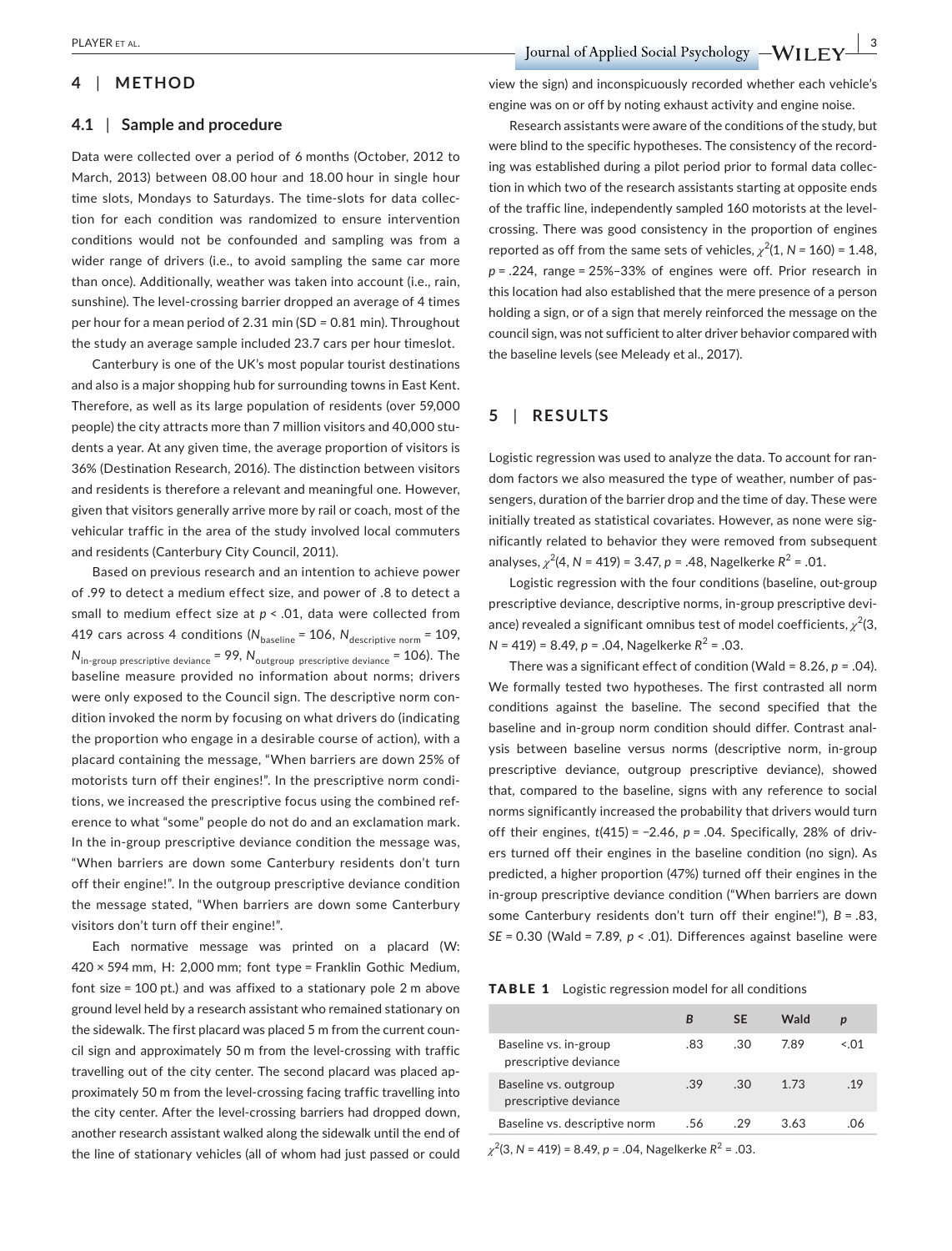# **4** | **METHOD**

#### **4.1** | **Sample and procedure**

Data were collected over a period of 6 months (October, 2012 to March, 2013) between 08.00 hour and 18.00 hour in single hour time slots, Mondays to Saturdays. The time‐slots for data collec‐ tion for each condition was randomized to ensure intervention conditions would not be confounded and sampling was from a wider range of drivers (i.e., to avoid sampling the same car more than once). Additionally, weather was taken into account (i.e., rain, sunshine). The level-crossing barrier dropped an average of 4 times per hour for a mean period of 2.31 min (SD *=* 0.81 min). Throughout the study an average sample included 23.7 cars per hour timeslot.

Canterbury is one of the UK's most popular tourist destinations and also is a major shopping hub for surrounding towns in East Kent. Therefore, as well as its large population of residents (over 59,000 people) the city attracts more than 7 million visitors and 40,000 stu‐ dents a year. At any given time, the average proportion of visitors is 36% (Destination Research, 2016). The distinction between visitors and residents is therefore a relevant and meaningful one. However, given that visitors generally arrive more by rail or coach, most of the vehicular traffic in the area of the study involved local commuters and residents (Canterbury City Council, 2011).

Based on previous research and an intention to achieve power of .99 to detect a medium effect size, and power of .8 to detect a small to medium effect size at *p* < .01, data were collected from 419 cars across 4 conditions ( $N_{\text{baseline}} = 106$ ,  $N_{\text{descriptive norm}} = 109$ , *N*in‐group prescriptive deviance *=* 99, *N*outgroup prescriptive deviance *=* 106). The baseline measure provided no information about norms; drivers were only exposed to the Council sign. The descriptive norm con‐ dition invoked the norm by focusing on what drivers do (indicating the proportion who engage in a desirable course of action), with a placard containing the message, "When barriers are down 25% of motorists turn off their engines!". In the prescriptive norm condi‐ tions, we increased the prescriptive focus using the combined ref‐ erence to what "some" people do not do and an exclamation mark. In the in‐group prescriptive deviance condition the message was, "When barriers are down some Canterbury residents don't turn off their engine!". In the outgroup prescriptive deviance condition the message stated, "When barriers are down some Canterbury visitors don't turn off their engine!".

Each normative message was printed on a placard (W: 420 × 594 mm, H: 2,000 mm; font type = Franklin Gothic Medium, font size = 100 pt.) and was affixed to a stationary pole 2 m above ground level held by a research assistant who remained stationary on the sidewalk. The first placard was placed 5 m from the current coun‐ cil sign and approximately 50 m from the level‐crossing with traffic travelling out of the city center. The second placard was placed ap‐ proximately 50 m from the level‐crossing facing traffic travelling into the city center. After the level‐crossing barriers had dropped down, another research assistant walked along the sidewalk until the end of the line of stationary vehicles (all of whom had just passed or could

view the sign) and inconspicuously recorded whether each vehicle's engine was on or off by noting exhaust activity and engine noise.

Research assistants were aware of the conditions of the study, but were blind to the specific hypotheses. The consistency of the recording was established during a pilot period prior to formal data collec‐ tion in which two of the research assistants starting at opposite ends of the traffic line, independently sampled 160 motorists at the level‐ crossing. There was good consistency in the proportion of engines reported as off from the same sets of vehicles,  $\chi^2(1, N = 160) = 1.48$ , *p* = .224, range = 25%–33% of engines were off. Prior research in this location had also established that the mere presence of a person holding a sign, or of a sign that merely reinforced the message on the council sign, was not sufficient to alter driver behavior compared with the baseline levels (see Meleady et al., 2017).

## **5** | **RESULTS**

Logistic regression was used to analyze the data. To account for ran‐ dom factors we also measured the type of weather, number of pas‐ sengers, duration of the barrier drop and the time of day. These were initially treated as statistical covariates. However, as none were significantly related to behavior they were removed from subsequent analyses, *χ*<sup>2</sup> (4, *N* = 419) = 3.47, *p* = .48, Nagelkerke *R*<sup>2</sup> = .01.

Logistic regression with the four conditions (baseline, out‐group prescriptive deviance, descriptive norms, in‐group prescriptive devi‐ ance) revealed a significant omnibus test of model coefficients,  $\chi^2(3)$ ,  $N = 419$  = 8.49,  $p = .04$ , Nagelkerke  $R^2 = .03$ .

There was a significant effect of condition (Wald = 8.26, *p* = .04). We formally tested two hypotheses. The first contrasted all norm conditions against the baseline. The second specified that the baseline and in‐group norm condition should differ. Contrast anal‐ ysis between baseline versus norms (descriptive norm, in‐group prescriptive deviance, outgroup prescriptive deviance), showed that, compared to the baseline, signs with any reference to social norms significantly increased the probability that drivers would turn off their engines, *t*(415) = −2.46, *p* = .04. Specifically, 28% of driv‐ ers turned off their engines in the baseline condition (no sign). As predicted, a higher proportion (47%) turned off their engines in the in‐group prescriptive deviance condition ("When barriers are down some Canterbury residents don't turn off their engine!"), *B* = .83, *SE* = 0.30 (Wald = 7.89, *p* < .01). Differences against baseline were

TABLE 1 Logistic regression model for all conditions

|                                                |     | <b>SE</b> | <b>Wald</b> | p    |
|------------------------------------------------|-----|-----------|-------------|------|
| Baseline vs. in-group<br>prescriptive deviance | .83 | -30       | 789         | < 01 |
| Baseline vs. outgroup<br>prescriptive deviance | .39 | 30.       | 1.73        | 19   |
| Baseline vs. descriptive norm                  | .56 | -29       | 3.63        | በለ   |

*χ*2 (3, *N* = 419) = 8.49, *p* = .04, Nagelkerke *R*<sup>2</sup> = .03.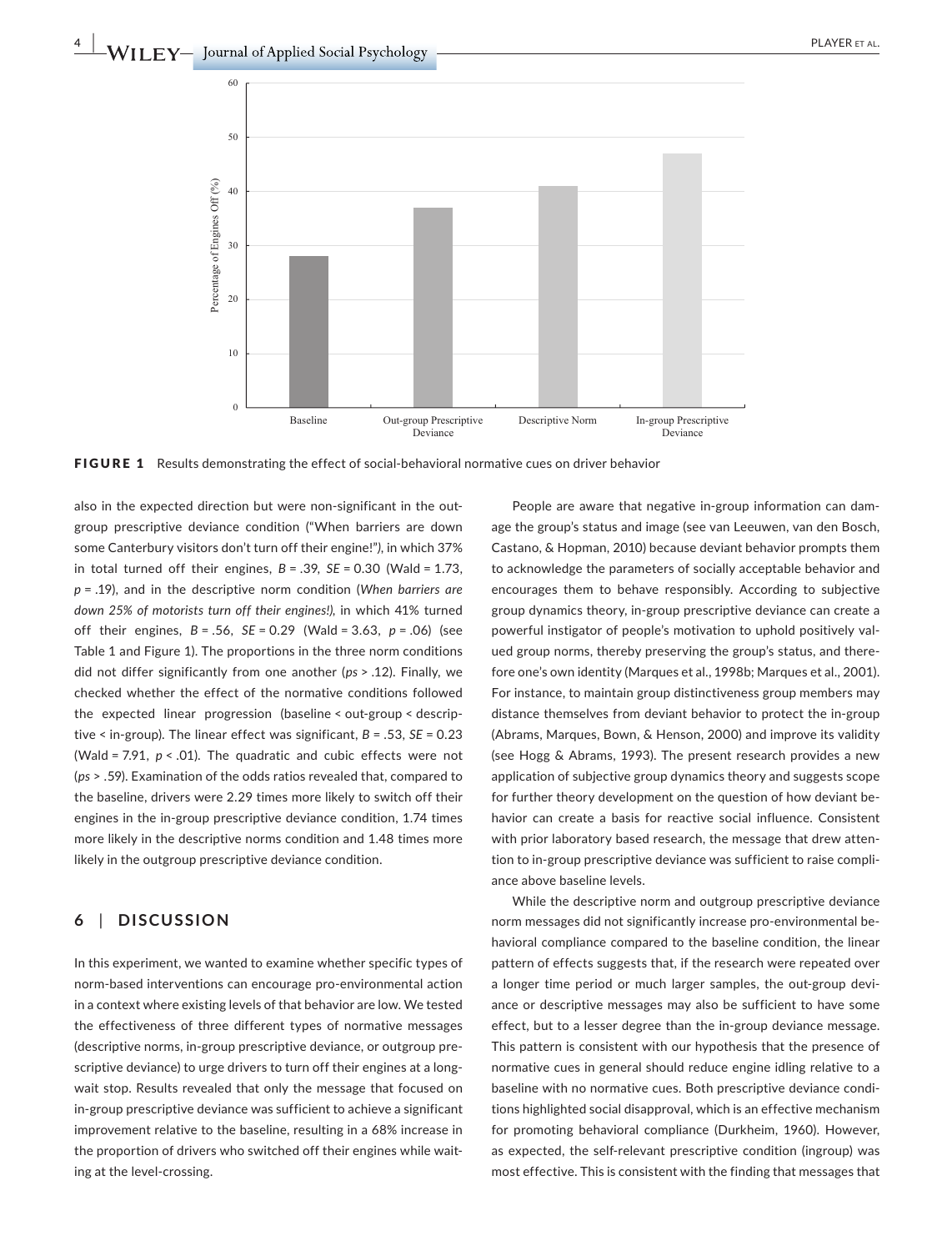

FIGURE 1 Results demonstrating the effect of social-behavioral normative cues on driver behavior

also in the expected direction but were non-significant in the outgroup prescriptive deviance condition ("When barriers are down some Canterbury visitors don't turn off their engine!"*)*, in which 37% in total turned off their engines, *B* = .39, *SE* = 0.30 (Wald = 1.73, *p* = .19), and in the descriptive norm condition (*When barriers are down 25% of motorists turn off their engines!),* in which 41% turned off their engines, *B* = .56, *SE* = 0.29 (Wald = 3.63, *p* = .06) (see Table 1 and Figure 1). The proportions in the three norm conditions did not differ significantly from one another (*ps* > .12). Finally, we checked whether the effect of the normative conditions followed the expected linear progression (baseline < out‐group < descrip‐ tive < in‐group). The linear effect was significant, *B* = .53, *SE* = 0.23 (Wald = 7.91, *p* < .01). The quadratic and cubic effects were not (*ps* > .59). Examination of the odds ratios revealed that, compared to the baseline, drivers were 2.29 times more likely to switch off their engines in the in‐group prescriptive deviance condition, 1.74 times more likely in the descriptive norms condition and 1.48 times more likely in the outgroup prescriptive deviance condition.

### **6** | **DISCUSSION**

In this experiment, we wanted to examine whether specific types of norm‐based interventions can encourage pro‐environmental action in a context where existing levels of that behavior are low. We tested the effectiveness of three different types of normative messages (descriptive norms, in‐group prescriptive deviance, or outgroup pre‐ scriptive deviance) to urge drivers to turn off their engines at a longwait stop. Results revealed that only the message that focused on in‐group prescriptive deviance was sufficient to achieve a significant improvement relative to the baseline, resulting in a 68% increase in the proportion of drivers who switched off their engines while wait‐ ing at the level‐crossing.

People are aware that negative in‐group information can dam‐ age the group's status and image (see van Leeuwen, van den Bosch, Castano, & Hopman, 2010) because deviant behavior prompts them to acknowledge the parameters of socially acceptable behavior and encourages them to behave responsibly. According to subjective group dynamics theory, in‐group prescriptive deviance can create a powerful instigator of people's motivation to uphold positively val‐ ued group norms, thereby preserving the group's status, and there‐ fore one's own identity (Marques et al., 1998b; Marques et al., 2001). For instance, to maintain group distinctiveness group members may distance themselves from deviant behavior to protect the in‐group (Abrams, Marques, Bown, & Henson, 2000) and improve its validity (see Hogg & Abrams, 1993). The present research provides a new application of subjective group dynamics theory and suggests scope for further theory development on the question of how deviant behavior can create a basis for reactive social influence. Consistent with prior laboratory based research, the message that drew attention to in‐group prescriptive deviance was sufficient to raise compli‐ ance above baseline levels.

While the descriptive norm and outgroup prescriptive deviance norm messages did not significantly increase pro‐environmental be‐ havioral compliance compared to the baseline condition, the linear pattern of effects suggests that, if the research were repeated over a longer time period or much larger samples, the out‐group devi‐ ance or descriptive messages may also be sufficient to have some effect, but to a lesser degree than the in‐group deviance message. This pattern is consistent with our hypothesis that the presence of normative cues in general should reduce engine idling relative to a baseline with no normative cues. Both prescriptive deviance condi‐ tions highlighted social disapproval, which is an effective mechanism for promoting behavioral compliance (Durkheim, 1960). However, as expected, the self-relevant prescriptive condition (ingroup) was most effective. This is consistent with the finding that messages that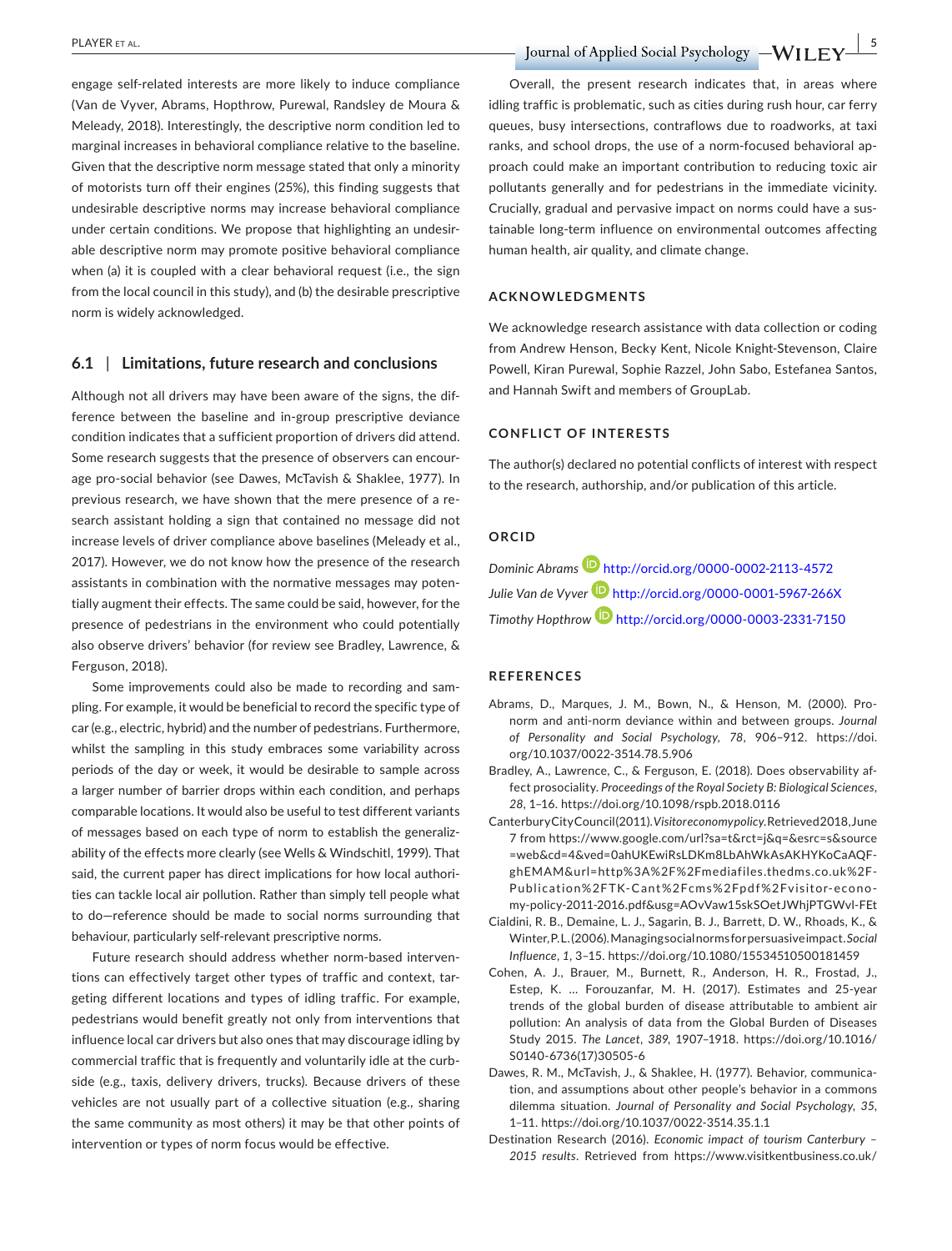engage self‐related interests are more likely to induce compliance (Van de Vyver, Abrams, Hopthrow, Purewal, Randsley de Moura & Meleady, 2018). Interestingly, the descriptive norm condition led to marginal increases in behavioral compliance relative to the baseline. Given that the descriptive norm message stated that only a minority of motorists turn off their engines (25%), this finding suggests that undesirable descriptive norms may increase behavioral compliance under certain conditions. We propose that highlighting an undesir‐ able descriptive norm may promote positive behavioral compliance when (a) it is coupled with a clear behavioral request (i.e., the sign from the local council in this study), and (b) the desirable prescriptive norm is widely acknowledged.

#### **6.1** | **Limitations, future research and conclusions**

Although not all drivers may have been aware of the signs, the dif‐ ference between the baseline and in‐group prescriptive deviance condition indicates that a sufficient proportion of drivers did attend. Some research suggests that the presence of observers can encour‐ age pro‐social behavior (see Dawes, McTavish & Shaklee, 1977). In previous research, we have shown that the mere presence of a re‐ search assistant holding a sign that contained no message did not increase levels of driver compliance above baselines (Meleady et al., 2017). However, we do not know how the presence of the research assistants in combination with the normative messages may poten‐ tially augment their effects. The same could be said, however, for the presence of pedestrians in the environment who could potentially also observe drivers' behavior (for review see Bradley, Lawrence, & Ferguson, 2018).

Some improvements could also be made to recording and sam‐ pling. For example, it would be beneficial to record the specific type of car (e.g., electric, hybrid) and the number of pedestrians. Furthermore, whilst the sampling in this study embraces some variability across periods of the day or week, it would be desirable to sample across a larger number of barrier drops within each condition, and perhaps comparable locations. It would also be useful to test different variants of messages based on each type of norm to establish the generaliz‐ ability of the effects more clearly (see Wells & Windschitl, 1999). That said, the current paper has direct implications for how local authorities can tackle local air pollution. Rather than simply tell people what to do—reference should be made to social norms surrounding that behaviour, particularly self‐relevant prescriptive norms.

Future research should address whether norm‐based interven‐ tions can effectively target other types of traffic and context, tar‐ geting different locations and types of idling traffic. For example, pedestrians would benefit greatly not only from interventions that influence local car drivers but also ones that may discourage idling by commercial traffic that is frequently and voluntarily idle at the curb‐ side (e.g., taxis, delivery drivers, trucks). Because drivers of these vehicles are not usually part of a collective situation (e.g., sharing the same community as most others) it may be that other points of intervention or types of norm focus would be effective.

Overall, the present research indicates that, in areas where idling traffic is problematic, such as cities during rush hour, car ferry queues, busy intersections, contraflows due to roadworks, at taxi ranks, and school drops, the use of a norm-focused behavioral approach could make an important contribution to reducing toxic air pollutants generally and for pedestrians in the immediate vicinity. Crucially, gradual and pervasive impact on norms could have a sus‐ tainable long‐term influence on environmental outcomes affecting human health, air quality, and climate change.

#### **ACKNOWLEDGMENTS**

We acknowledge research assistance with data collection or coding from Andrew Henson, Becky Kent, Nicole Knight‐Stevenson, Claire Powell, Kiran Purewal, Sophie Razzel, John Sabo, Estefanea Santos, and Hannah Swift and members of GroupLab.

#### **CONFLICT OF INTERESTS**

The author(s) declared no potential conflicts of interest with respect to the research, authorship, and/or publication of this article.

#### **ORCID**

*Dominic Abram[s](http://orcid.org/0000-0002-2113-4572)* <http://orcid.org/0000-0002-2113-4572> *Julie Van de Vyver* <http://orcid.org/0000-0001-5967-266X> *Timothy Hopthro[w](http://orcid.org/0000-0003-2331-7150)* <http://orcid.org/0000-0003-2331-7150>

#### **REFERENCES**

- Abrams, D., Marques, J. M., Bown, N., & Henson, M. (2000). Pro‐ norm and anti‐norm deviance within and between groups. *Journal of Personality and Social Psychology*, *78*, 906–912. [https://doi.](https://doi.org/10.1037/0022-3514.78.5.906) [org/10.1037/0022-3514.78.5.906](https://doi.org/10.1037/0022-3514.78.5.906)
- Bradley, A., Lawrence, C., & Ferguson, E. (2018). Does observability af‐ fect prosociality. *Proceedings of the Royal Society B: Biological Sciences*, *28*, 1–16.<https://doi.org/10.1098/rspb.2018.0116>
- Canterbury City Council (2011). *Visitor economy policy*.Retrieved2018,June 7 from [https://www.google.com/url?sa=t&rct=j&q=&esrc=s&source](https://www.google.com/url?sa=t&rct=j&q=&esrc=s&source=web&cd=4&ved=0ahUKEwiRsLDKm8LbAhWkAsAKHYKoCaAQFghEMAM&url=http%3A%2F%2Fmediafiles.thedms.co.uk%2FPublication%2FTK-Cant%2Fcms%2Fpdf%2Fvisitor-economy-policy-2011-2016.pdf&usg=AOvVaw15skSOetJWhjPTGWvl-FEt) [=web&cd=4&ved=0ahUKEwiRsLDKm8LbAhWkAsAKHYKoCaAQF](https://www.google.com/url?sa=t&rct=j&q=&esrc=s&source=web&cd=4&ved=0ahUKEwiRsLDKm8LbAhWkAsAKHYKoCaAQFghEMAM&url=http%3A%2F%2Fmediafiles.thedms.co.uk%2FPublication%2FTK-Cant%2Fcms%2Fpdf%2Fvisitor-economy-policy-2011-2016.pdf&usg=AOvVaw15skSOetJWhjPTGWvl-FEt)‐ [ghEMAM&url=http%3A%2F%2Fmediafiles.thedms.co.uk%2F‐](https://www.google.com/url?sa=t&rct=j&q=&esrc=s&source=web&cd=4&ved=0ahUKEwiRsLDKm8LbAhWkAsAKHYKoCaAQFghEMAM&url=http%3A%2F%2Fmediafiles.thedms.co.uk%2FPublication%2FTK-Cant%2Fcms%2Fpdf%2Fvisitor-economy-policy-2011-2016.pdf&usg=AOvVaw15skSOetJWhjPTGWvl-FEt) [Publication%2FTK-Cant%2Fcms%2Fpdf%2Fvisitor-econo‐](https://www.google.com/url?sa=t&rct=j&q=&esrc=s&source=web&cd=4&ved=0ahUKEwiRsLDKm8LbAhWkAsAKHYKoCaAQFghEMAM&url=http%3A%2F%2Fmediafiles.thedms.co.uk%2FPublication%2FTK-Cant%2Fcms%2Fpdf%2Fvisitor-economy-policy-2011-2016.pdf&usg=AOvVaw15skSOetJWhjPTGWvl-FEt) [my-policy-2011-2016.pdf&usg=AOvVaw15skSOetJWhjPTGWvl-FEt](https://www.google.com/url?sa=t&rct=j&q=&esrc=s&source=web&cd=4&ved=0ahUKEwiRsLDKm8LbAhWkAsAKHYKoCaAQFghEMAM&url=http%3A%2F%2Fmediafiles.thedms.co.uk%2FPublication%2FTK-Cant%2Fcms%2Fpdf%2Fvisitor-economy-policy-2011-2016.pdf&usg=AOvVaw15skSOetJWhjPTGWvl-FEt)
- Cialdini, R. B., Demaine, L. J., Sagarin, B. J., Barrett, D. W., Rhoads, K., & Winter,P.L.(2006).Managingsocialnormsforpersuasiveimpact.*Social Influence*, *1*, 3–15.<https://doi.org/10.1080/15534510500181459>
- Cohen, A. J., Brauer, M., Burnett, R., Anderson, H. R., Frostad, J., Estep, K. … Forouzanfar, M. H. (2017). Estimates and 25‐year trends of the global burden of disease attributable to ambient air pollution: An analysis of data from the Global Burden of Diseases Study 2015. *The Lancet*, *389*, 1907–1918. [https://doi.org/10.1016/](https://doi.org/10.1016/S0140-6736(17)30505-6) [S0140-6736\(17\)30505-6](https://doi.org/10.1016/S0140-6736(17)30505-6)
- Dawes, R. M., McTavish, J., & Shaklee, H. (1977). Behavior, communica‐ tion, and assumptions about other people's behavior in a commons dilemma situation. *Journal of Personality and Social Psychology*, *35*, 1–11. <https://doi.org/10.1037/0022-3514.35.1.1>
- Destination Research (2016). *Economic impact of tourism Canterbury 2015 results*. Retrieved from [https://www.visitkentbusiness.co.uk/](https://www.visitkentbusiness.co.uk/library/Economic_Impact_of_Tourism_-_Canterbury_2015_FINAL_REPORT.PDF)